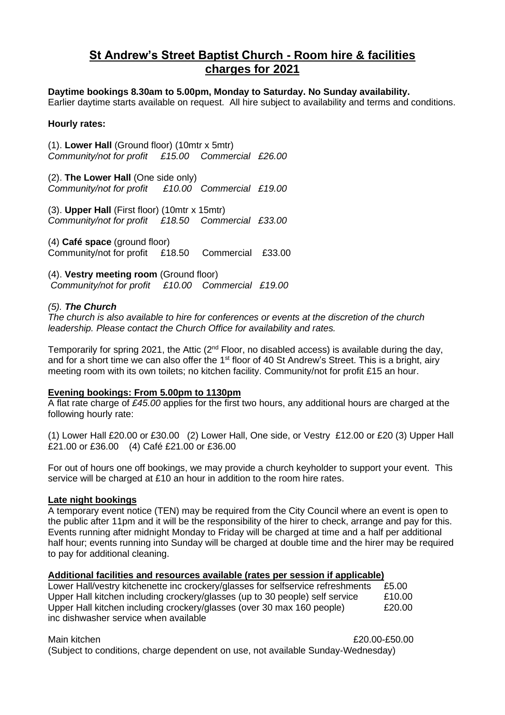# **St Andrew's Street Baptist Church - Room hire & facilities charges for 2021**

# **Daytime bookings 8.30am to 5.00pm, Monday to Saturday. No Sunday availability.**

Earlier daytime starts available on request. All hire subject to availability and terms and conditions.

### **Hourly rates:**

(1). **Lower Hall** (Ground floor) (10mtr x 5mtr) *Community/not for profit £15.00 Commercial £26.00*

(2). **The Lower Hall** (One side only) *Community/not for profit £10.00 Commercial £19.00*

(3). **Upper Hall** (First floor) (10mtr x 15mtr) *Community/not for profit £18.50 Commercial £33.00*

(4) **Café space** (ground floor) Community/not for profit £18.50 Commercial £33.00

(4). **Vestry meeting room** (Ground floor) *Community/not for profit £10.00 Commercial £19.00* 

## *(5). The Church*

*The church is also available to hire for conferences or events at the discretion of the church leadership. Please contact the Church Office for availability and rates.*

Temporarily for spring 2021, the Attic ( $2<sup>nd</sup>$  Floor, no disabled access) is available during the day, and for a short time we can also offer the  $1<sup>st</sup>$  floor of 40 St Andrew's Street. This is a bright, airy meeting room with its own toilets; no kitchen facility. Community/not for profit £15 an hour.

#### **Evening bookings: From 5.00pm to 1130pm**

A flat rate charge of *£45.00* applies for the first two hours, any additional hours are charged at the following hourly rate:

(1) Lower Hall £20.00 or £30.00 (2) Lower Hall, One side, or Vestry £12.00 or £20 (3) Upper Hall £21.00 or £36.00 (4) Café £21.00 or £36.00

For out of hours one off bookings, we may provide a church keyholder to support your event. This service will be charged at £10 an hour in addition to the room hire rates.

#### **Late night bookings**

A temporary event notice (TEN) may be required from the City Council where an event is open to the public after 11pm and it will be the responsibility of the hirer to check, arrange and pay for this. Events running after midnight Monday to Friday will be charged at time and a half per additional half hour; events running into Sunday will be charged at double time and the hirer may be required to pay for additional cleaning.

#### **Additional facilities and resources available (rates per session if applicable)**

Lower Hall/vestry kitchenette inc crockery/glasses for selfservice refreshments £5.00 Upper Hall kitchen including crockery/glasses (up to 30 people) self service £10.00 Upper Hall kitchen including crockery/glasses (over 30 max 160 people) £20.00 inc dishwasher service when available

Main kitchen £20.00-£50.00

(Subject to conditions, charge dependent on use, not available Sunday-Wednesday)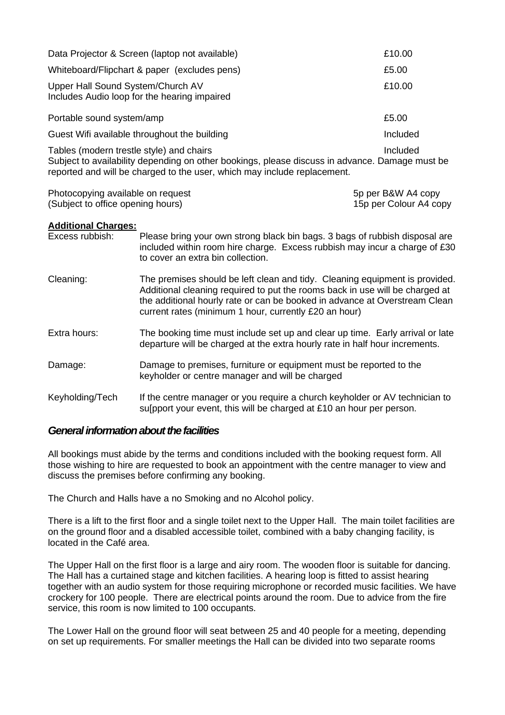| Data Projector & Screen (laptop not available)                                                                                                                                                                         | £10.00   |
|------------------------------------------------------------------------------------------------------------------------------------------------------------------------------------------------------------------------|----------|
| Whiteboard/Flipchart & paper (excludes pens)                                                                                                                                                                           | £5.00    |
| Upper Hall Sound System/Church AV<br>Includes Audio loop for the hearing impaired                                                                                                                                      | £10.00   |
| Portable sound system/amp                                                                                                                                                                                              | £5.00    |
| Guest Wifi available throughout the building                                                                                                                                                                           | Included |
| Tables (modern trestle style) and chairs<br>Subject to availability depending on other bookings, please discuss in advance. Damage must be<br>reported and will be charged to the user, which may include replacement. | Included |

| Photocopying available on request | 5p per B&W A4 copy     |
|-----------------------------------|------------------------|
| (Subject to office opening hours) | 15p per Colour A4 copy |

#### **Additional Charges:**

| Excess rubbish: | Please bring your own strong black bin bags. 3 bags of rubbish disposal are<br>included within room hire charge. Excess rubbish may incur a charge of £30<br>to cover an extra bin collection.                                                                                                     |
|-----------------|----------------------------------------------------------------------------------------------------------------------------------------------------------------------------------------------------------------------------------------------------------------------------------------------------|
| Cleaning:       | The premises should be left clean and tidy. Cleaning equipment is provided.<br>Additional cleaning required to put the rooms back in use will be charged at<br>the additional hourly rate or can be booked in advance at Overstream Clean<br>current rates (minimum 1 hour, currently £20 an hour) |
| Extra hours:    | The booking time must include set up and clear up time. Early arrival or late<br>departure will be charged at the extra hourly rate in half hour increments.                                                                                                                                       |
| Damage:         | Damage to premises, furniture or equipment must be reported to the<br>keyholder or centre manager and will be charged                                                                                                                                                                              |
| Keyholding/Tech | If the centre manager or you require a church keyholder or AV technician to<br>sulpport your event, this will be charged at £10 an hour per person.                                                                                                                                                |

# *General information about the facilities*

All bookings must abide by the terms and conditions included with the booking request form. All those wishing to hire are requested to book an appointment with the centre manager to view and discuss the premises before confirming any booking.

The Church and Halls have a no Smoking and no Alcohol policy.

There is a lift to the first floor and a single toilet next to the Upper Hall. The main toilet facilities are on the ground floor and a disabled accessible toilet, combined with a baby changing facility, is located in the Café area.

The Upper Hall on the first floor is a large and airy room. The wooden floor is suitable for dancing. The Hall has a curtained stage and kitchen facilities. A hearing loop is fitted to assist hearing together with an audio system for those requiring microphone or recorded music facilities. We have crockery for 100 people. There are electrical points around the room. Due to advice from the fire service, this room is now limited to 100 occupants.

The Lower Hall on the ground floor will seat between 25 and 40 people for a meeting, depending on set up requirements. For smaller meetings the Hall can be divided into two separate rooms